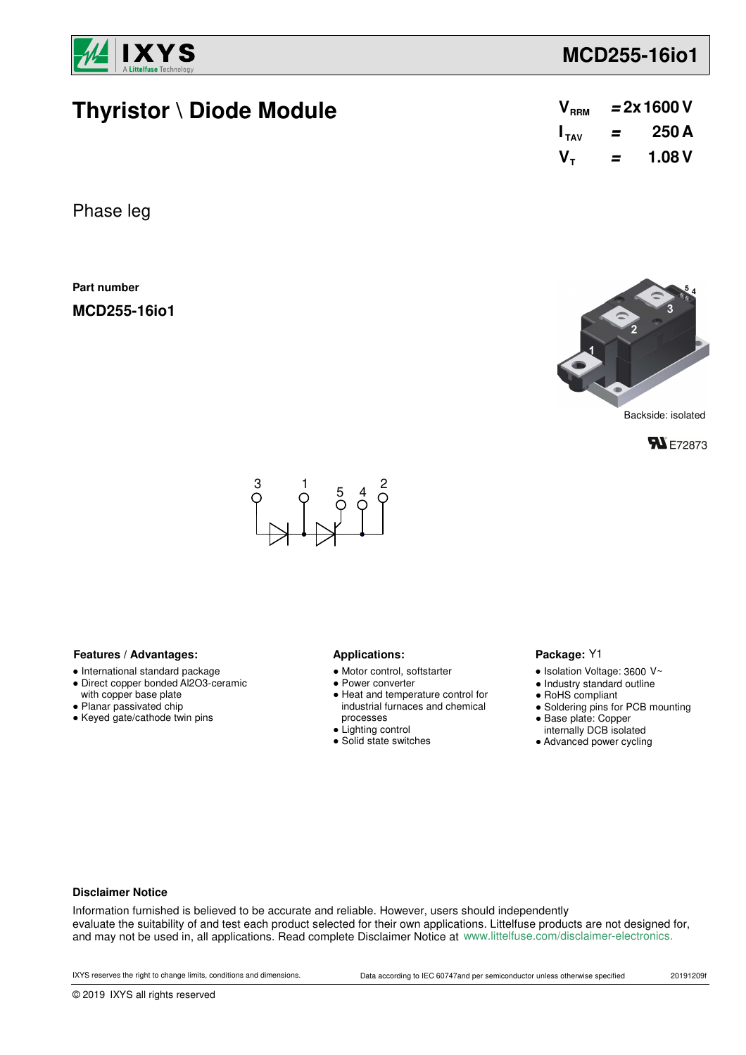

# **MCD255-16io1**

# **Thyristor \ Diode Module**

| $\mathsf{V}_{\scriptscriptstyle{\mathsf{RRM}}}$ |   | $= 2x 1600 V$ |
|-------------------------------------------------|---|---------------|
| $\mathbf{I}_{\mathsf{TAV}}$                     | = | 250 A         |
| V <sub>τ</sub>                                  | = | 1.08V         |

Phase leg

**Part number**

**MCD255-16io1**



Backside: isolated





## Features / Advantages: **Applications: Applications:**

- International standard package
- Direct copper bonded Al2O3-ceramic with copper base plate
- Planar passivated chip
- Keyed gate/cathode twin pins

- Motor control, softstarter
- Power converter
- Heat and temperature control for industrial furnaces and chemical processes
- Lighting control
- Solid state switches

#### Package: Y1

- $\bullet$  Isolation Voltage: 3600 V~
- Industry standard outline
- RoHS compliant
- Soldering pins for PCB mounting
- Base plate: Copper
- internally DCB isolated
- Advanced power cycling

### **Disclaimer Notice**

Information furnished is believed to be accurate and reliable. However, users should independently evaluate the suitability of and test each product selected for their own applications. Littelfuse products are not designed for, and may not be used in, all applications. Read complete Disclaimer Notice at www.littelfuse.com/disclaimer-electronics.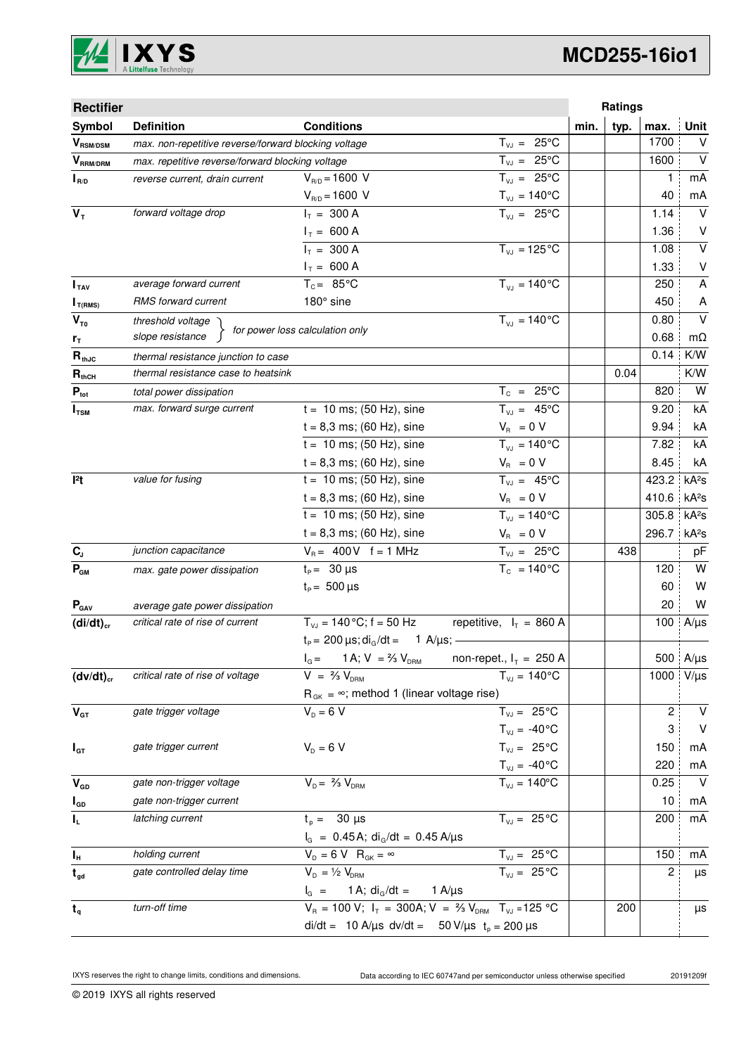

# **MCD255-16io1**

| <b>Rectifier</b>           |                                                      |                                                                                   |                                |      | Ratings |       |                   |
|----------------------------|------------------------------------------------------|-----------------------------------------------------------------------------------|--------------------------------|------|---------|-------|-------------------|
| Symbol                     | <b>Definition</b>                                    | <b>Conditions</b>                                                                 |                                | min. | typ.    | max.  | <b>Unit</b>       |
| $V_{\text{RSM/DSM}}$       | max. non-repetitive reverse/forward blocking voltage |                                                                                   | $T_{VJ} = 25^{\circ}C$         |      |         | 1700  | V                 |
| $V_{\tiny\text{RRM/DRM}}$  | max. repetitive reverse/forward blocking voltage     |                                                                                   | $T_{VJ} = 25^{\circ}C$         |      |         | 1600  | $\vee$            |
| $I_{R/D}$                  | reverse current, drain current                       | $V_{R/D} = 1600 V$                                                                | $T_{V,I} = 25^{\circ}C$        |      |         | 1     | mA                |
|                            |                                                      | $V_{R/D} = 1600 V$                                                                | $T_{\nu J} = 140^{\circ}C$     |      |         | 40    | mA                |
| $V_T$                      | forward voltage drop                                 | $I_T = 300 A$                                                                     | $T_{V,1} = 25^{\circ}C$        |      |         | 1.14  | $\vee$            |
|                            |                                                      | $I_T = 600 A$                                                                     |                                |      |         | 1.36  | V                 |
|                            |                                                      | $I_T = 300 A$                                                                     | $T_{VJ} = 125$ °C              |      |         | 1.08  | $\sf V$           |
|                            |                                                      | $I_T = 600 A$                                                                     |                                |      |         | 1.33  | V                 |
| I <sub>TAV</sub>           | average forward current                              | $T_c = 85^{\circ}$ C                                                              | $T_{V1} = 140^{\circ}C$        |      |         | 250   | A                 |
| $I_{T(RMS)}$               | RMS forward current                                  | 180° sine                                                                         |                                |      |         | 450   | A                 |
| $V_{\tau_0}$               | threshold voltage                                    | for power loss calculation only                                                   | $T_{V,I} = 140^{\circ}C$       |      |         | 0.80  | $\vee$            |
| r <sub>T</sub>             | slope resistance                                     |                                                                                   |                                |      |         | 0.68  | $m\Omega$         |
| $R_{thJC}$                 | thermal resistance junction to case                  |                                                                                   |                                |      |         | 0.14  | K/W               |
| $\mathbf{R}_{\text{thCH}}$ | thermal resistance case to heatsink                  |                                                                                   |                                |      | 0.04    |       | K/W               |
| $P_{\text{tot}}$           | total power dissipation                              |                                                                                   | $T_c = 25^{\circ}C$            |      |         | 820   | W                 |
| $I_{TSM}$                  | max. forward surge current                           | $t = 10$ ms; (50 Hz), sine                                                        | $T_{VJ} = 45^{\circ}C$         |      |         | 9.20  | kA                |
|                            |                                                      | $t = 8,3$ ms; (60 Hz), sine                                                       | $V_{\rm R} = 0 V$              |      |         | 9.94  | kA                |
|                            |                                                      | $t = 10$ ms; (50 Hz), sine                                                        | $T_{V,1} = 140^{\circ}C$       |      |         | 7.82  | kA                |
|                            |                                                      | $t = 8,3$ ms; (60 Hz), sine                                                       | $V_R = 0 V$                    |      |         | 8.45  | kA                |
| $ ^{2}t$                   | value for fusing                                     | $t = 10$ ms; (50 Hz), sine                                                        | $T_{VJ} = 45^{\circ}C$         |      |         | 423.2 | kA <sup>2</sup> S |
|                            |                                                      | $t = 8,3$ ms; (60 Hz), sine                                                       | $V_{\rm R} = 0 V$              |      |         | 410.6 | kA <sup>2</sup> s |
|                            |                                                      | $t = 10$ ms; (50 Hz), sine                                                        | $T_{VJ} = 140^{\circ}C$        |      |         | 305.8 | kA <sup>2</sup> s |
|                            |                                                      | $t = 8,3$ ms; (60 Hz), sine                                                       | $V_{\rm R} = 0 V$              |      |         | 296.7 | kA <sup>2</sup> S |
| $C_{J}$                    | junction capacitance                                 | $V_B = 400V$ f = 1 MHz                                                            | $T_{VJ} = 25^{\circ}C$         |      | 438     |       | pF                |
| $P_{GM}$                   | max. gate power dissipation                          | $t_{p} = 30 \,\mu s$                                                              | $T_c = 140^{\circ}$ C          |      |         | 120   | W                 |
|                            |                                                      | $t_{\rm p} = 500 \,\mu s$                                                         |                                |      |         | 60    | W                 |
| $P_{\text{GAV}}$           | average gate power dissipation                       |                                                                                   |                                |      |         | 20    | W                 |
| $(di/dt)_{cr}$             | critical rate of rise of current                     | $T_{V,1} = 140 \degree C$ ; f = 50 Hz                                             | repetitive, $I_T = 860$ A      |      |         | 100   | $A/\mu s$         |
|                            |                                                      | $t_P = 200 \,\mu s$ ; di <sub>g</sub> /dt = 1 A/ $\mu s$ ; -                      |                                |      |         |       |                   |
|                            |                                                      | 1 A; $V = \frac{2}{3} V_{DRM}$<br>$I_G =$                                         | non-repet., $I_T = 250$ A      |      |         |       | 500 A/µs          |
| $(dv/dt)_{cr}$             | critical rate of rise of voltage                     | $V = \frac{2}{3} V_{DRM}$                                                         | $T_{VJ} = 140^{\circ}C$        |      |         | 1000  | $V/\mu s$         |
|                            |                                                      | $R_{GK} = \infty$ ; method 1 (linear voltage rise)                                |                                |      |         |       |                   |
| $V_{GT}$                   | gate trigger voltage                                 | $V_{D} = 6 V$                                                                     | $T_{VJ} = 25^{\circ}C$         |      |         | 2     | V                 |
|                            |                                                      |                                                                                   | $T_{VJ} = -40^{\circ}C$        |      |         | 3     | $\vee$            |
| $I_{GT}$                   | gate trigger current                                 | $V_{D} = 6 V$                                                                     | $T_{VJ} = 25^{\circ}C$         |      |         | 150   | mA                |
|                            |                                                      |                                                                                   | $T_{\text{VJ}} = -40^{\circ}C$ |      |         | 220   | mA                |
| $V_{GD}$                   | gate non-trigger voltage                             | $V_{D} = \frac{2}{3} V_{DBM}$                                                     | $T_{VJ} = 140^{\circ}$ C       |      |         | 0.25  | $\vee$            |
| $I_{GD}$                   | gate non-trigger current                             |                                                                                   |                                |      |         | 10    | mA                |
| IL.                        | latching current                                     | $t_p = 30 \text{ }\mu\text{s}$                                                    | $T_{VJ} = 25^{\circ}C$         |      |         | 200   | mA                |
|                            |                                                      | $I_G = 0.45 A$ ; di <sub>G</sub> /dt = 0.45 A/µs                                  |                                |      |         |       |                   |
| $I_H$                      | holding current                                      | $V_{D} = 6 V R_{GK} = \infty$                                                     | $T_{VJ} = 25\overline{C}$      |      |         | 150   | mA                |
| $t_{gd}$                   | gate controlled delay time                           | $V_{D} = \frac{1}{2} V_{DRM}$                                                     | $\overline{T_{VJ}}$ = 25 °C    |      |         | 2     | μs                |
|                            |                                                      | 1 A; $di_{G}/dt =$<br>$I_{G}$ =                                                   | 1 A/μs                         |      |         |       |                   |
| $t_q$                      | turn-off time                                        | $V_R = 100 V$ ; $I_T = 300A$ ; $V = \frac{2}{3} V_{DRM}$ T <sub>VJ</sub> = 125 °C |                                |      | 200     |       | μs                |
|                            |                                                      | di/dt = 10 A/µs dv/dt = 50 V/µs $t_0 = 200 \mu s$                                 |                                |      |         |       |                   |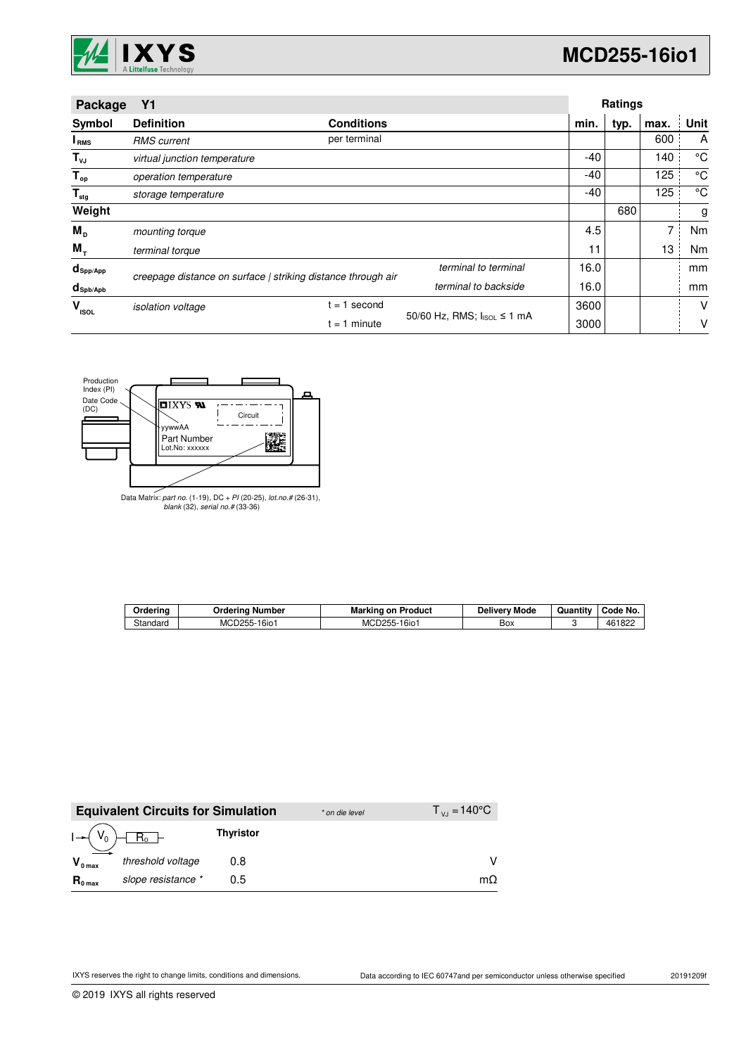

| Package                   | <b>Y1</b>                                                    |                   |                            |      | <b>Ratings</b> |      |      |
|---------------------------|--------------------------------------------------------------|-------------------|----------------------------|------|----------------|------|------|
| Symbol                    | <b>Definition</b>                                            | <b>Conditions</b> |                            | min. | typ.           | max. | Unit |
| <b>I</b> <sub>RMS</sub>   | <b>RMS</b> current                                           | per terminal      |                            |      |                | 600  | A    |
| $T_{\nu J}$               | virtual junction temperature                                 |                   |                            | -40  |                | 140  | °C   |
| $T_{op}$                  | operation temperature                                        |                   |                            | -40  |                | 125  | °C   |
| $\mathsf{T}_{\text{stg}}$ | storage temperature                                          |                   | -40                        |      | 125            | °C   |      |
| Weight                    |                                                              |                   |                            |      | 680            |      | g    |
| $M_{\rm p}$               | mounting torque                                              |                   |                            | 4.5  |                | 7    | Nm   |
| M,                        | terminal torque                                              |                   |                            | 11   |                | 13   | Nm   |
| $d_{\mathsf{Spp/App}}$    | creepage distance on surface   striking distance through air |                   | terminal to terminal       | 16.0 |                |      | mm   |
| $d_{\text{Spb/Apb}}$      |                                                              |                   | terminal to backside       | 16.0 |                |      | mm   |
| v<br><b>ISOL</b>          | <i>isolation</i> voltage                                     | second<br>$= 1$   |                            | 3600 |                |      | V    |
|                           |                                                              | $= 1$ minute      | 50/60 Hz, RMS; IsoL ≤ 1 mA | 3000 |                |      | V    |



Data Matrix: part no. (1-19), DC + PI (20-25), lot.no.# (26-31), blank (32), serial no.# (33-36)

| Orderina | Orderina Number              | <b>Marking on Product</b> | <b>Delivery Mode</b> | Quantity | Code No. |
|----------|------------------------------|---------------------------|----------------------|----------|----------|
| Standard | MCD255-1<br>16i <sub>0</sub> | MCD255-16io1              | Box                  |          | 461822   |

|                     | <b>Equivalent Circuits for Simulation</b> |                  | * on die level | $T_{V1} = 140^{\circ}C$ |
|---------------------|-------------------------------------------|------------------|----------------|-------------------------|
|                     | $I \rightarrow (V_0) \boxed{R_0}$         | <b>Thyristor</b> |                |                         |
| $V_{0 \text{ max}}$ | threshold voltage                         | 0.8              |                |                         |
| $R_{0 \text{ max}}$ | slope resistance *                        | 0.5              |                | mΩ                      |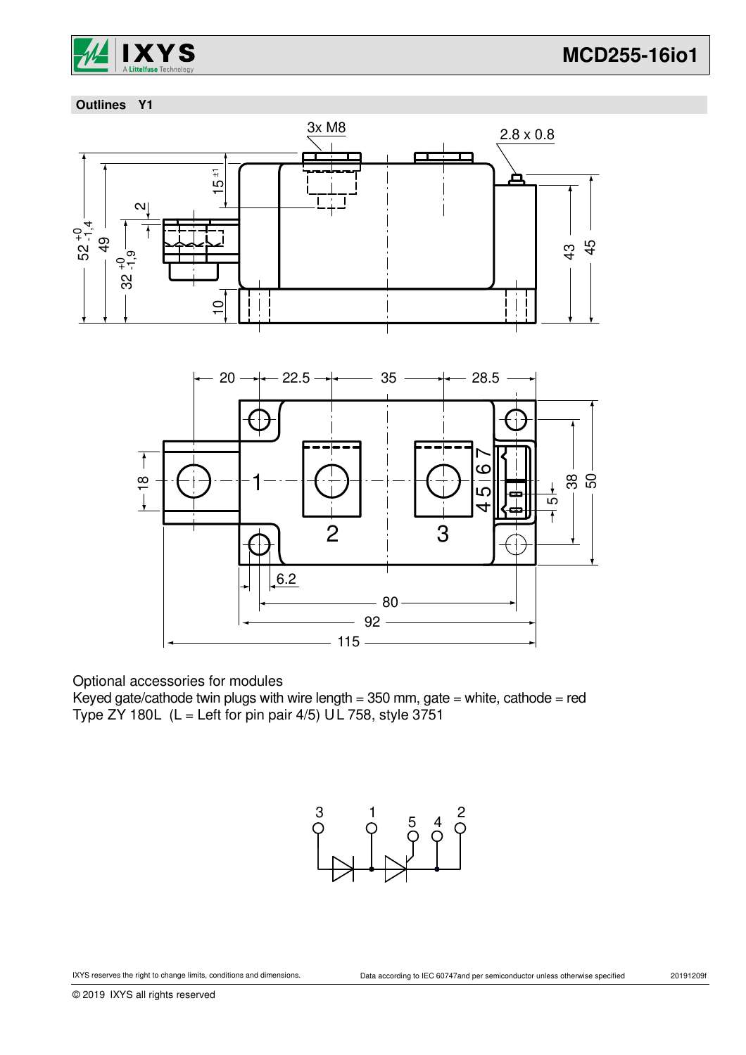

## **Outlines Y1**



Optional accessories for modules

Keyed gate/cathode twin plugs with wire length =  $350$  mm, gate = white, cathode = red Type ZY 180L  $(L = Left for pin pair 4/5) UL 758$ , style 3751

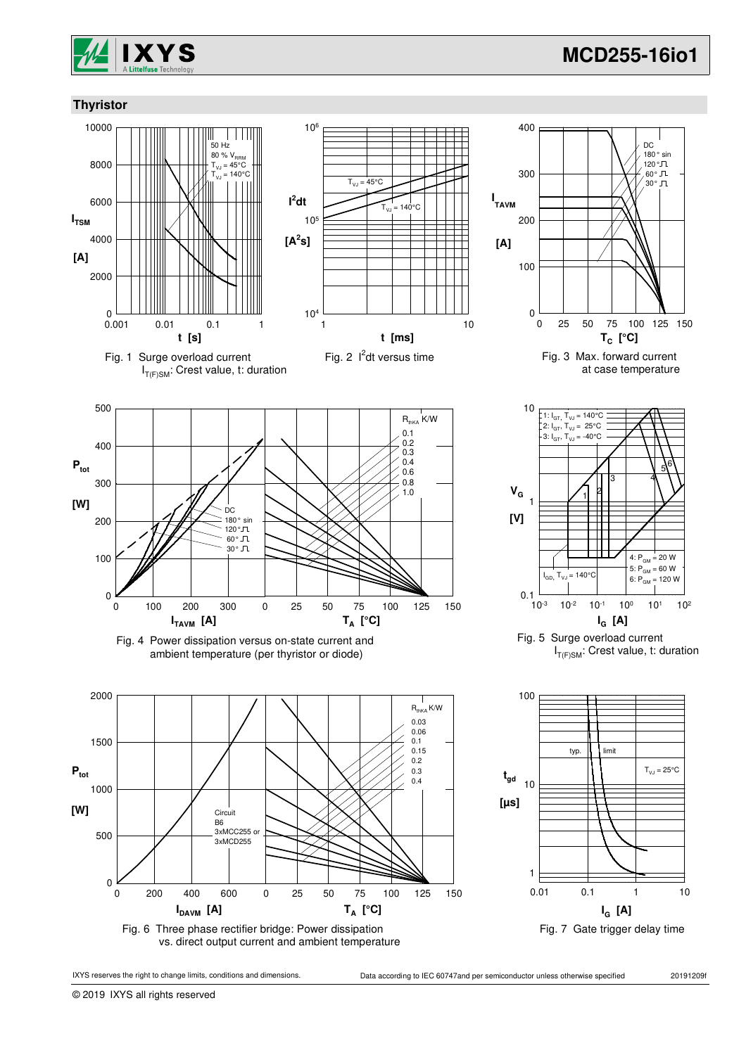